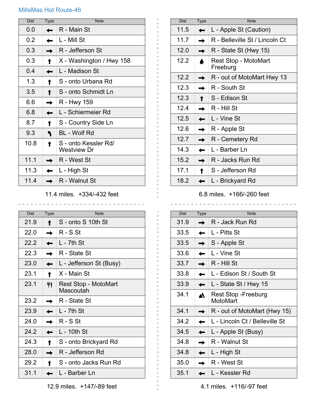## MillsMas Hot Route-46

| <b>Dist</b> | <b>Type</b> | <b>Note</b>                         |
|-------------|-------------|-------------------------------------|
| 0.0         |             | R - Main St                         |
| 0.2         |             | L - Mill St                         |
| 0.3         |             | R - Jefferson St                    |
| 0.3         |             | X - Washington / Hwy 158            |
| 0.4         |             | L - Madison St                      |
| 1.3         |             | S - onto Urbana Rd                  |
| 3.5         |             | S - onto Schmidt Ln                 |
| 66          |             | R - Hwy 159                         |
| 6.8         |             | L - Schiermeier Rd                  |
| 8.7         |             | S - Country Side Ln                 |
| 9.3         |             | BL - Wolf Rd                        |
| 10.8        |             | S - onto Kessler Rd/<br>Westview Dr |
| 11.1        |             | R - West St                         |
| 11.3        |             | L - High St                         |
| 11.4        |             | R - Walnut St                       |

11.4 miles. +334/-432 feet

\_\_\_\_\_\_\_\_\_\_\_\_\_\_\_\_\_\_\_\_\_\_\_\_\_\_\_\_\_\_\_\_\_

| <b>Dist</b> | <b>Type</b> | <b>Note</b>                       |
|-------------|-------------|-----------------------------------|
| 21.9        |             | S - onto S 10th St                |
| 22.0        |             | $R - S$ St                        |
| 22.2        |             | L - 7th St                        |
| 22.3        |             | R - State St                      |
| 23.0        |             | L - Jefferson St (Busy)           |
| 23.1        |             | X - Main St                       |
| 23.1        |             | Rest Stop - MotoMart<br>Mascoutah |
| 23.2        |             | R - State St                      |
| 23.9        |             | $L - 7$ th St                     |
| 24.0        |             | $R - S$ St                        |
| 24.2        |             | $L - 10$ th St                    |
| 24.3        |             | S - onto Brickyard Rd             |
| 28.0        |             | R - Jefferson Rd                  |
| 29.2        |             | S - onto Jacks Run Rd             |
| 31.1        |             | l - Barber I n                    |

| <b>Dist</b> | <b>Type</b> | <b>Note</b>                      |
|-------------|-------------|----------------------------------|
| 11.5        |             | L - Apple St (Caution)           |
| 11.7        |             | R - Belleville St / Lincoln Ct   |
| 12.0        |             | R - State St (Hwy 15)            |
| 12.2        |             | Rest Stop - MotoMart<br>Freeburg |
| 12.2        |             | R - out of MotoMart Hwy 13       |
| 12.3        |             | R - South St                     |
| 12.3        |             | S - Edison St                    |
| 12.4        |             | R - Hill St                      |
| 12.5        |             | L - Vine St                      |
| 12.6        |             | R - Apple St                     |
| 12.7        |             | R - Cemetery Rd                  |
| 14.3        |             | L - Barber Ln                    |
| 15.2        |             | R - Jacks Run Rd                 |
| 17.1        |             | S - Jefferson Rd                 |
| 18.2        |             | L - Brickyard Rd                 |

6.8 miles. +166/-260 feet \_\_\_\_\_\_\_\_\_\_\_\_\_\_\_\_\_\_\_\_\_\_\_\_\_\_\_\_\_\_\_\_\_\_\_\_

| Dist | <b>Type</b> | <b>Note</b>                      |
|------|-------------|----------------------------------|
| 31.9 |             | R - Jack Run Rd                  |
| 33.5 |             | L - Pitts St                     |
| 33.5 |             | S - Apple St                     |
| 33.6 |             | L - Vine St                      |
| 33.7 |             | R - Hill St                      |
| 33.8 |             | L - Edison St / South St         |
| 33.9 |             | L - State St / Hwy 15            |
| 34.1 |             | Rest Stop - Freeburg<br>MotoMart |
| 34.1 |             | R - out of MotoMart (Hwy 15)     |
| 34.2 |             | L - Lincoln Ct / Belleville St   |
| 34.5 |             | L - Apple St (Busy)              |
| 34.8 |             | R - Walnut St                    |
| 34.8 |             | L - High St                      |
| 35.0 |             | R - West St                      |
| 35.1 |             | L - Kessler Rd                   |